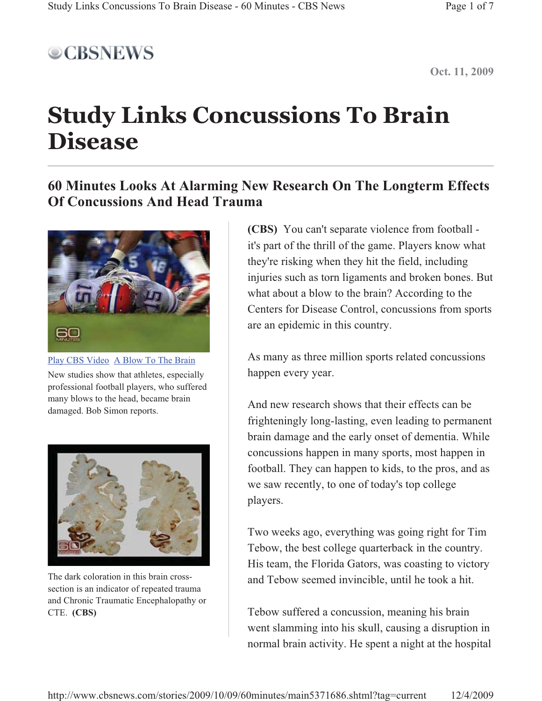

**Oct. 11, 2009**

## **Study Links Concussions To Brain Disease**

## **60 Minutes Looks At Alarming New Research On The Longterm Effects Of Concussions And Head Trauma**



Play CBS Video A Blow To The Brain New studies show that athletes, especially professional football players, who suffered many blows to the head, became brain damaged. Bob Simon reports.



The dark coloration in this brain crosssection is an indicator of repeated trauma and Chronic Traumatic Encephalopathy or CTE. **(CBS)**

**(CBS)** You can't separate violence from football it's part of the thrill of the game. Players know what they're risking when they hit the field, including injuries such as torn ligaments and broken bones. But what about a blow to the brain? According to the Centers for Disease Control, concussions from sports are an epidemic in this country.

As many as three million sports related concussions happen every year.

And new research shows that their effects can be frighteningly long-lasting, even leading to permanent brain damage and the early onset of dementia. While concussions happen in many sports, most happen in football. They can happen to kids, to the pros, and as we saw recently, to one of today's top college players.

Two weeks ago, everything was going right for Tim Tebow, the best college quarterback in the country. His team, the Florida Gators, was coasting to victory and Tebow seemed invincible, until he took a hit.

Tebow suffered a concussion, meaning his brain went slamming into his skull, causing a disruption in normal brain activity. He spent a night at the hospital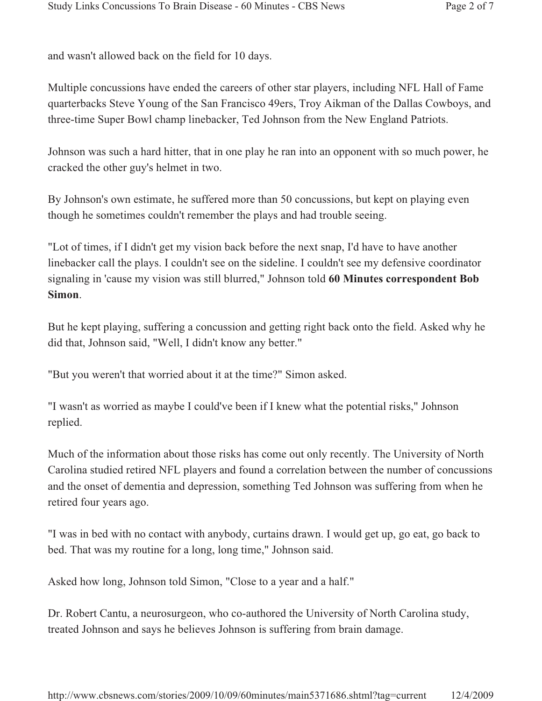and wasn't allowed back on the field for 10 days.

Multiple concussions have ended the careers of other star players, including NFL Hall of Fame quarterbacks Steve Young of the San Francisco 49ers, Troy Aikman of the Dallas Cowboys, and three-time Super Bowl champ linebacker, Ted Johnson from the New England Patriots.

Johnson was such a hard hitter, that in one play he ran into an opponent with so much power, he cracked the other guy's helmet in two.

By Johnson's own estimate, he suffered more than 50 concussions, but kept on playing even though he sometimes couldn't remember the plays and had trouble seeing.

"Lot of times, if I didn't get my vision back before the next snap, I'd have to have another linebacker call the plays. I couldn't see on the sideline. I couldn't see my defensive coordinator signaling in 'cause my vision was still blurred," Johnson told **60 Minutes correspondent Bob Simon**.

But he kept playing, suffering a concussion and getting right back onto the field. Asked why he did that, Johnson said, "Well, I didn't know any better."

"But you weren't that worried about it at the time?" Simon asked.

"I wasn't as worried as maybe I could've been if I knew what the potential risks," Johnson replied.

Much of the information about those risks has come out only recently. The University of North Carolina studied retired NFL players and found a correlation between the number of concussions and the onset of dementia and depression, something Ted Johnson was suffering from when he retired four years ago.

"I was in bed with no contact with anybody, curtains drawn. I would get up, go eat, go back to bed. That was my routine for a long, long time," Johnson said.

Asked how long, Johnson told Simon, "Close to a year and a half."

Dr. Robert Cantu, a neurosurgeon, who co-authored the University of North Carolina study, treated Johnson and says he believes Johnson is suffering from brain damage.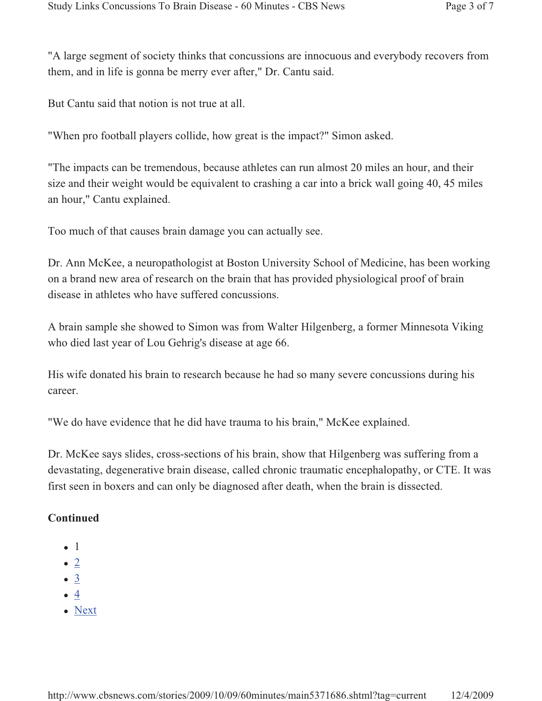"A large segment of society thinks that concussions are innocuous and everybody recovers from them, and in life is gonna be merry ever after," Dr. Cantu said.

But Cantu said that notion is not true at all.

"When pro football players collide, how great is the impact?" Simon asked.

"The impacts can be tremendous, because athletes can run almost 20 miles an hour, and their size and their weight would be equivalent to crashing a car into a brick wall going 40, 45 miles an hour," Cantu explained.

Too much of that causes brain damage you can actually see.

Dr. Ann McKee, a neuropathologist at Boston University School of Medicine, has been working on a brand new area of research on the brain that has provided physiological proof of brain disease in athletes who have suffered concussions.

A brain sample she showed to Simon was from Walter Hilgenberg, a former Minnesota Viking who died last year of Lou Gehrig's disease at age 66.

His wife donated his brain to research because he had so many severe concussions during his career.

"We do have evidence that he did have trauma to his brain," McKee explained.

Dr. McKee says slides, cross-sections of his brain, show that Hilgenberg was suffering from a devastating, degenerative brain disease, called chronic traumatic encephalopathy, or CTE. It was first seen in boxers and can only be diagnosed after death, when the brain is dissected.

## **Continued**

- $\bullet$  1
- $\bullet$  2
- $\bullet$  3
- $\bullet$  4
- Next